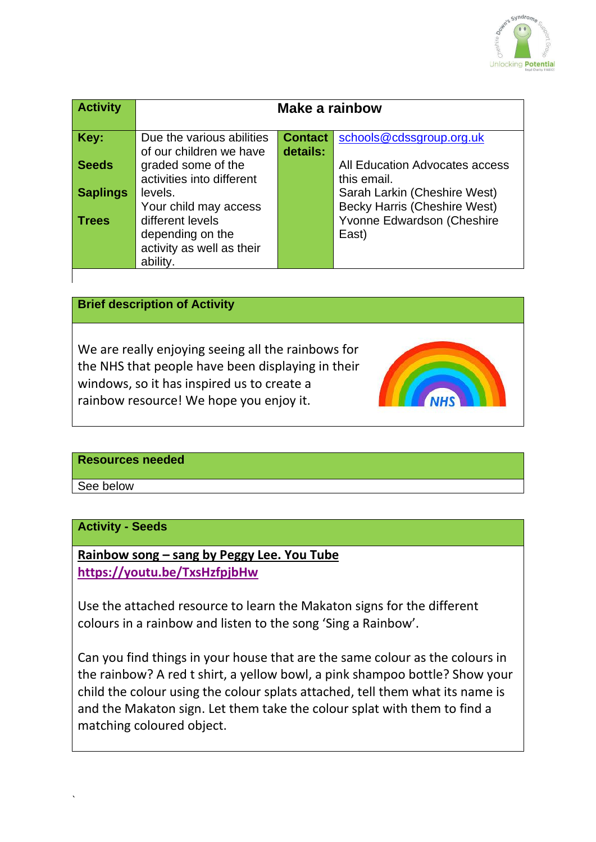

| <b>Activity</b> | Make a rainbow                                                                |                            |                                                                     |
|-----------------|-------------------------------------------------------------------------------|----------------------------|---------------------------------------------------------------------|
| Key:            | Due the various abilities<br>of our children we have                          | <b>Contact</b><br>details: | schools@cdssgroup.org.uk                                            |
| <b>Seeds</b>    | graded some of the<br>activities into different                               |                            | All Education Advocates access<br>this email.                       |
| <b>Saplings</b> | levels.<br>Your child may access                                              |                            | Sarah Larkin (Cheshire West)<br><b>Becky Harris (Cheshire West)</b> |
| <b>Trees</b>    | different levels<br>depending on the<br>activity as well as their<br>ability. |                            | Yvonne Edwardson (Cheshire<br>East)                                 |

## **Brief description of Activity**

We are really enjoying seeing all the rainbows for the NHS that people have been displaying in their windows, so it has inspired us to create a rainbow resource! We hope you enjoy it.



#### **Resources needed**

See below

`

#### **Activity - Seeds**

**Rainbow song – sang by Peggy Lee. You Tube <https://youtu.be/TxsHzfpjbHw>**

Use the attached resource to learn the Makaton signs for the different colours in a rainbow and listen to the song 'Sing a Rainbow'.

Can you find things in your house that are the same colour as the colours in the rainbow? A red t shirt, a yellow bowl, a pink shampoo bottle? Show your child the colour using the colour splats attached, tell them what its name is and the Makaton sign. Let them take the colour splat with them to find a matching coloured object.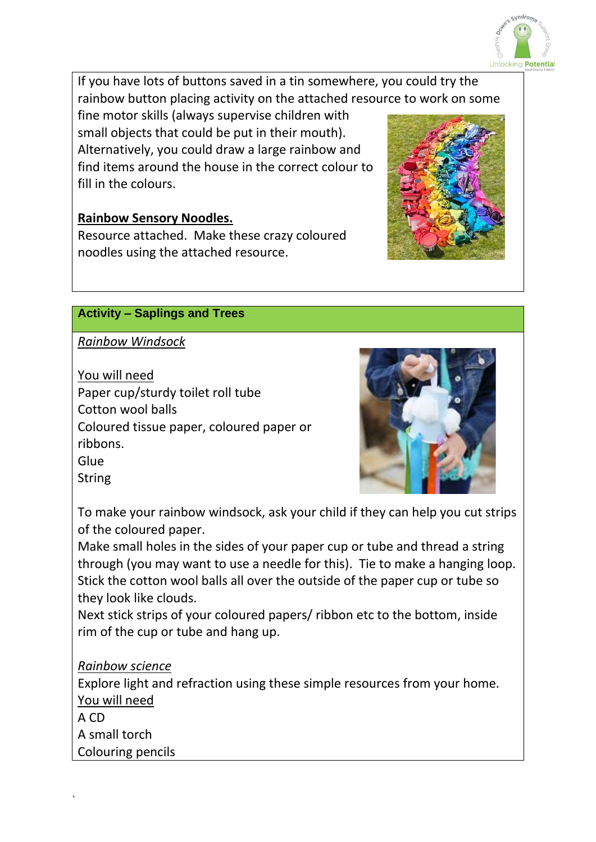

If you have lots of buttons saved in a tin somewhere, you could try the rainbow button placing activity on the attached resource to work on some

fine motor skills (always supervise children with small objects that could be put in their mouth). Alternatively, you could draw a large rainbow and find items around the house in the correct colour to fill in the colours.

# **Rainbow Sensory Noodles.**

Resource attached. Make these crazy coloured noodles using the attached resource.

# **Activity – Saplings and Trees**

*Rainbow Windsock*

You will need Paper cup/sturdy toilet roll tube Cotton wool balls Coloured tissue paper, coloured paper or ribbons. **Glue** 

**String** 



To make your rainbow windsock, ask your child if they can help you cut strips of the coloured paper.

Make small holes in the sides of your paper cup or tube and thread a string through (you may want to use a needle for this). Tie to make a hanging loop. Stick the cotton wool balls all over the outside of the paper cup or tube so they look like clouds.

Next stick strips of your coloured papers/ ribbon etc to the bottom, inside rim of the cup or tube and hang up.

# *Rainbow science*

Explore light and refraction using these simple resources from your home. You will need

A CD A small torch Colouring pencils

`